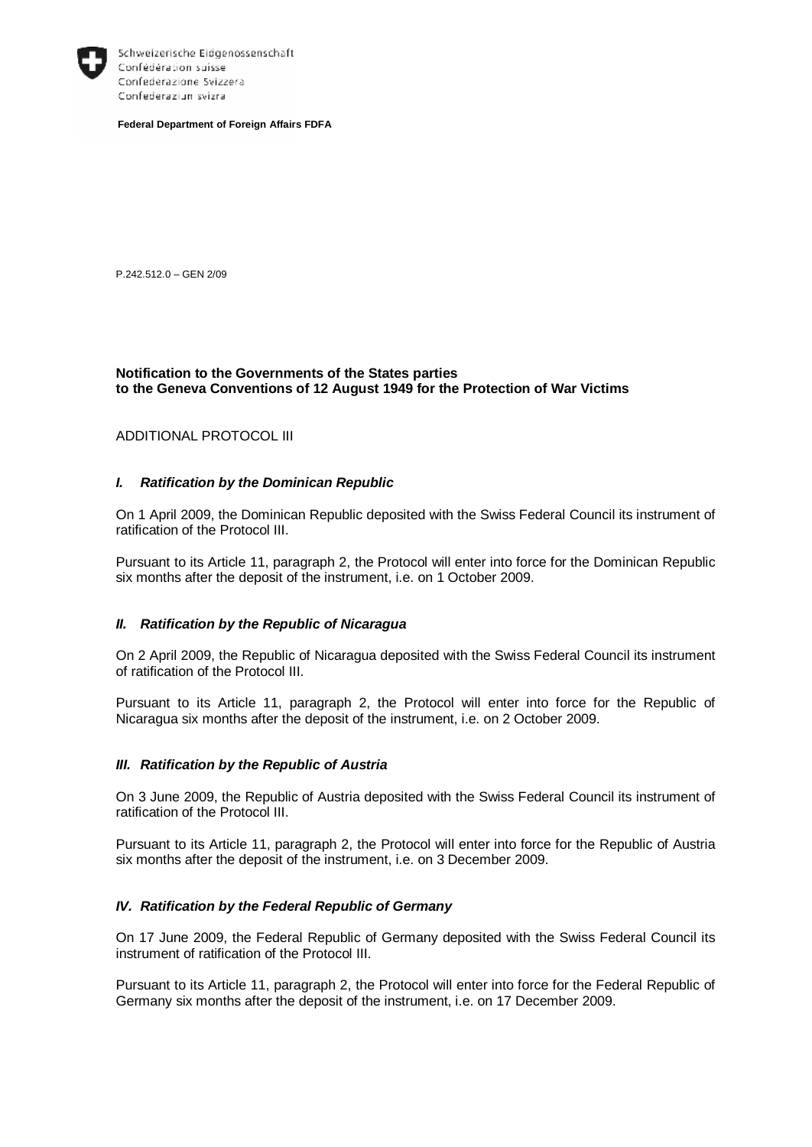

Schweizerische Eidgenossenschaft Confédération suisse Confederazione Svizzera Confederaziun svizra

**Federal Department of Foreign Affairs FDFA** 

P.242.512.0 – GEN 2/09

## **Notification to the Governments of the States parties to the Geneva Conventions of 12 August 1949 for the Protection of War Victims**

#### ADDITIONAL PROTOCOL III

## *I. Ratification by the Dominican Republic*

On 1 April 2009, the Dominican Republic deposited with the Swiss Federal Council its instrument of ratification of the Protocol III.

Pursuant to its Article 11, paragraph 2, the Protocol will enter into force for the Dominican Republic six months after the deposit of the instrument, i.e. on 1 October 2009.

#### *II. Ratification by the Republic of Nicaragua*

On 2 April 2009, the Republic of Nicaragua deposited with the Swiss Federal Council its instrument of ratification of the Protocol III.

Pursuant to its Article 11, paragraph 2, the Protocol will enter into force for the Republic of Nicaragua six months after the deposit of the instrument, i.e. on 2 October 2009.

#### *III. Ratification by the Republic of Austria*

On 3 June 2009, the Republic of Austria deposited with the Swiss Federal Council its instrument of ratification of the Protocol III.

Pursuant to its Article 11, paragraph 2, the Protocol will enter into force for the Republic of Austria six months after the deposit of the instrument, i.e. on 3 December 2009.

## *IV. Ratification by the Federal Republic of Germany*

On 17 June 2009, the Federal Republic of Germany deposited with the Swiss Federal Council its instrument of ratification of the Protocol III.

Pursuant to its Article 11, paragraph 2, the Protocol will enter into force for the Federal Republic of Germany six months after the deposit of the instrument, i.e. on 17 December 2009.